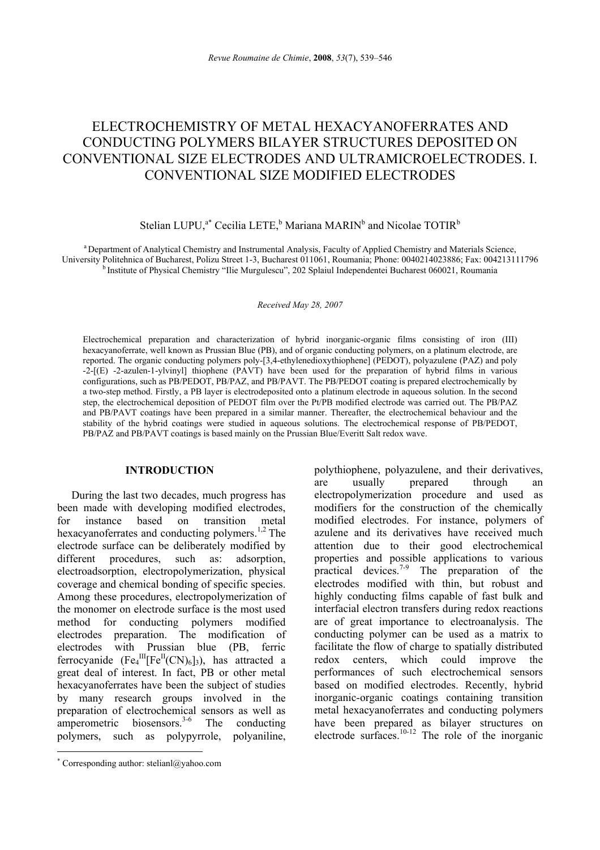# ELECTROCHEMISTRY OF METAL HEXACYANOFERRATES AND CONDUCTING POLYMERS BILAYER STRUCTURES DEPOSITED ON CONVENTIONAL SIZE ELECTRODES AND ULTRAMICROELECTRODES. I. CONVENTIONAL SIZE MODIFIED ELECTRODES

## Stelian LUPU,<sup>a\*</sup> Cecilia LETE,<sup>b</sup> Mariana MARIN<sup>b</sup> and Nicolae TOTIR<sup>b</sup>

<sup>a</sup> Department of Analytical Chemistry and Instrumental Analysis, Faculty of Applied Chemistry and Materials Science,<br>University Politehnica of Bucharest, Polizu Street 1-3, Bucharest 011061, Roumania; Phone: 0040214023886 <sup>b</sup> Institute of Physical Chemistry "Ilie Murgulescu", 202 Splaiul Independentei Bucharest 060021, Roumania

#### *Received May 28, 2007*

Electrochemical preparation and characterization of hybrid inorganic-organic films consisting of iron (III) hexacyanoferrate, well known as Prussian Blue (PB), and of organic conducting polymers, on a platinum electrode, are reported. The organic conducting polymers poly-[3,4-ethylenedioxythiophene] (PEDOT), polyazulene (PAZ) and poly -2-[(E) -2-azulen-1-ylvinyl] thiophene (PAVT) have been used for the preparation of hybrid films in various configurations, such as PB/PEDOT, PB/PAZ, and PB/PAVT. The PB/PEDOT coating is prepared electrochemically by a two-step method. Firstly, a PB layer is electrodeposited onto a platinum electrode in aqueous solution. In the second step, the electrochemical deposition of PEDOT film over the Pt/PB modified electrode was carried out. The PB/PAZ and PB/PAVT coatings have been prepared in a similar manner. Thereafter, the electrochemical behaviour and the stability of the hybrid coatings were studied in aqueous solutions. The electrochemical response of PB/PEDOT, PB/PAZ and PB/PAVT coatings is based mainly on the Prussian Blue/Everitt Salt redox wave.

## **INTRODUCTION**<sup>∗</sup>

During the last two decades, much progress has been made with developing modified electrodes, for instance based on transition metal hexacyanoferrates and conducting polymers.<sup>1,2</sup> The electrode surface can be deliberately modified by different procedures, such as: adsorption, electroadsorption, electropolymerization, physical coverage and chemical bonding of specific species. Among these procedures, electropolymerization of the monomer on electrode surface is the most used method for conducting polymers modified electrodes preparation. The modification of electrodes with Prussian blue (PB, ferric ferrocyanide  $(Fe<sub>4</sub><sup>III</sup>[Fe<sup>II</sup>(CN)<sub>6</sub>]<sub>3</sub>)$ , has attracted a great deal of interest. In fact, PB or other metal hexacyanoferrates have been the subject of studies by many research groups involved in the preparation of electrochemical sensors as well as amperometric biosensors.<sup>3-6</sup> The conducting polymers, such as polypyrrole, polyaniline,

 $\overline{a}$ 

polythiophene, polyazulene, and their derivatives, are usually prepared through an electropolymerization procedure and used as modifiers for the construction of the chemically modified electrodes. For instance, polymers of azulene and its derivatives have received much attention due to their good electrochemical properties and possible applications to various practical devices.<sup>7-9</sup> The preparation of the electrodes modified with thin, but robust and highly conducting films capable of fast bulk and interfacial electron transfers during redox reactions are of great importance to electroanalysis. The conducting polymer can be used as a matrix to facilitate the flow of charge to spatially distributed redox centers, which could improve the performances of such electrochemical sensors based on modified electrodes. Recently, hybrid inorganic-organic coatings containing transition metal hexacyanoferrates and conducting polymers have been prepared as bilayer structures on electrode surfaces. $10-12$  The role of the inorganic

<sup>∗</sup> Corresponding author: stelianl@yahoo.com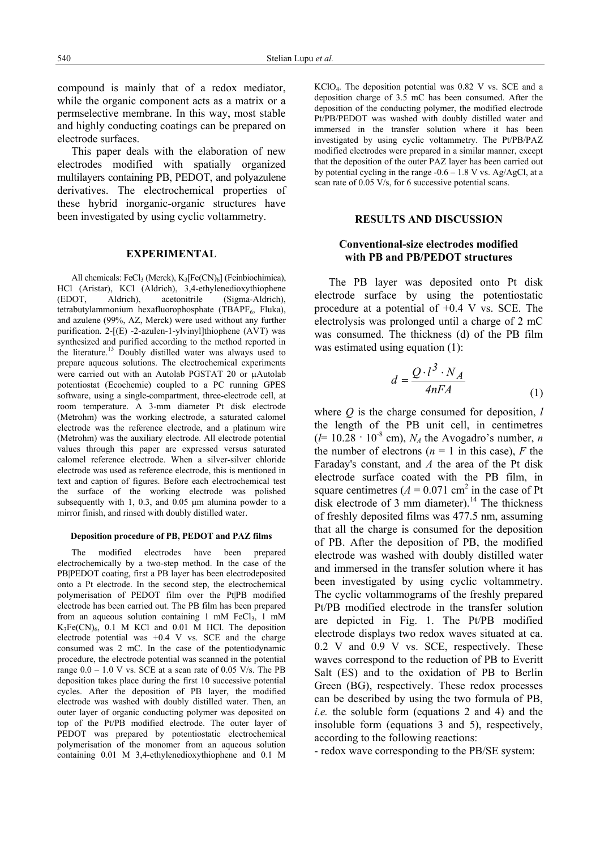compound is mainly that of a redox mediator, while the organic component acts as a matrix or a permselective membrane. In this way, most stable and highly conducting coatings can be prepared on electrode surfaces.

This paper deals with the elaboration of new electrodes modified with spatially organized multilayers containing PB, PEDOT, and polyazulene derivatives. The electrochemical properties of these hybrid inorganic-organic structures have been investigated by using cyclic voltammetry.

#### **EXPERIMENTAL**

All chemicals: FeCl<sub>3</sub> (Merck),  $K_3[Fe(CN)_6]$  (Feinbiochimica), HCl (Aristar), KCl (Aldrich), 3,4-ethylenedioxythiophene (EDOT, Aldrich), acetonitrile (Sigma-Aldrich), tetrabutylammonium hexafluorophosphate (TBAPF<sub>6</sub>, Fluka), and azulene (99%, AZ, Merck) were used without any further purification. 2-[(E) -2-azulen-1-ylvinyl]thiophene (AVT) was synthesized and purified according to the method reported in the literature.13 Doubly distilled water was always used to prepare aqueous solutions. The electrochemical experiments were carried out with an Autolab PGSTAT 20 or µAutolab potentiostat (Ecochemie) coupled to a PC running GPES software, using a single-compartment, three-electrode cell, at room temperature. A 3-mm diameter Pt disk electrode (Metrohm) was the working electrode, a saturated calomel electrode was the reference electrode, and a platinum wire (Metrohm) was the auxiliary electrode. All electrode potential values through this paper are expressed versus saturated calomel reference electrode. When a silver-silver chloride electrode was used as reference electrode, this is mentioned in text and caption of figures. Before each electrochemical test the surface of the working electrode was polished subsequently with 1, 0.3, and 0.05  $\mu$ m alumina powder to a mirror finish, and rinsed with doubly distilled water.

#### **Deposition procedure of PB, PEDOT and PAZ films**

The modified electrodes have been prepared electrochemically by a two-step method. In the case of the PB|PEDOT coating, first a PB layer has been electrodeposited onto a Pt electrode. In the second step, the electrochemical polymerisation of PEDOT film over the Pt|PB modified electrode has been carried out. The PB film has been prepared from an aqueous solution containing 1 mM FeCl<sub>3</sub>, 1 mM  $K_3Fe(CN)_6$ , 0.1 M KCl and 0.01 M HCl. The deposition electrode potential was  $+0.4$  V vs. SCE and the charge consumed was 2 mC. In the case of the potentiodynamic procedure, the electrode potential was scanned in the potential range  $0.0 - 1.0$  V vs. SCE at a scan rate of  $0.05$  V/s. The PB deposition takes place during the first 10 successive potential cycles. After the deposition of PB layer, the modified electrode was washed with doubly distilled water. Then, an outer layer of organic conducting polymer was deposited on top of the Pt/PB modified electrode. The outer layer of PEDOT was prepared by potentiostatic electrochemical polymerisation of the monomer from an aqueous solution containing 0.01 M 3,4-ethylenedioxythiophene and 0.1 M

KClO4. The deposition potential was 0.82 V vs. SCE and a deposition charge of 3.5 mC has been consumed. After the deposition of the conducting polymer, the modified electrode Pt/PB/PEDOT was washed with doubly distilled water and immersed in the transfer solution where it has been investigated by using cyclic voltammetry. The Pt/PB/PAZ modified electrodes were prepared in a similar manner, except that the deposition of the outer PAZ layer has been carried out by potential cycling in the range  $-0.6 - 1.8$  V vs. Ag/AgCl, at a scan rate of 0.05 V/s, for 6 successive potential scans.

### **RESULTS AND DISCUSSION**

## **Conventional-size electrodes modified with PB and PB/PEDOT structures**

The PB layer was deposited onto Pt disk electrode surface by using the potentiostatic procedure at a potential of +0.4 V vs. SCE. The electrolysis was prolonged until a charge of 2 mC was consumed. The thickness (d) of the PB film was estimated using equation (1):

$$
d = \frac{Q \cdot l^3 \cdot N_A}{4nFA} \tag{1}
$$

where *Q* is the charge consumed for deposition, *l* the length of the PB unit cell, in centimetres  $(l=10.28 \cdot 10^{-8}$  cm),  $N_A$  the Avogadro's number, *n* the number of electrons ( $n = 1$  in this case),  $F$  the Faraday's constant, and *A* the area of the Pt disk electrode surface coated with the PB film, in square centimetres  $(A = 0.071$  cm<sup>2</sup> in the case of Pt disk electrode of 3 mm diameter).<sup>14</sup> The thickness of freshly deposited films was 477.5 nm, assuming that all the charge is consumed for the deposition of PB. After the deposition of PB, the modified electrode was washed with doubly distilled water and immersed in the transfer solution where it has been investigated by using cyclic voltammetry. The cyclic voltammograms of the freshly prepared Pt/PB modified electrode in the transfer solution are depicted in Fig. 1. The Pt/PB modified electrode displays two redox waves situated at ca. 0.2 V and 0.9 V vs. SCE, respectively. These waves correspond to the reduction of PB to Everitt Salt (ES) and to the oxidation of PB to Berlin Green (BG), respectively. These redox processes can be described by using the two formula of PB, *i.e.* the soluble form (equations 2 and 4) and the insoluble form (equations 3 and 5), respectively, according to the following reactions:

- redox wave corresponding to the PB/SE system: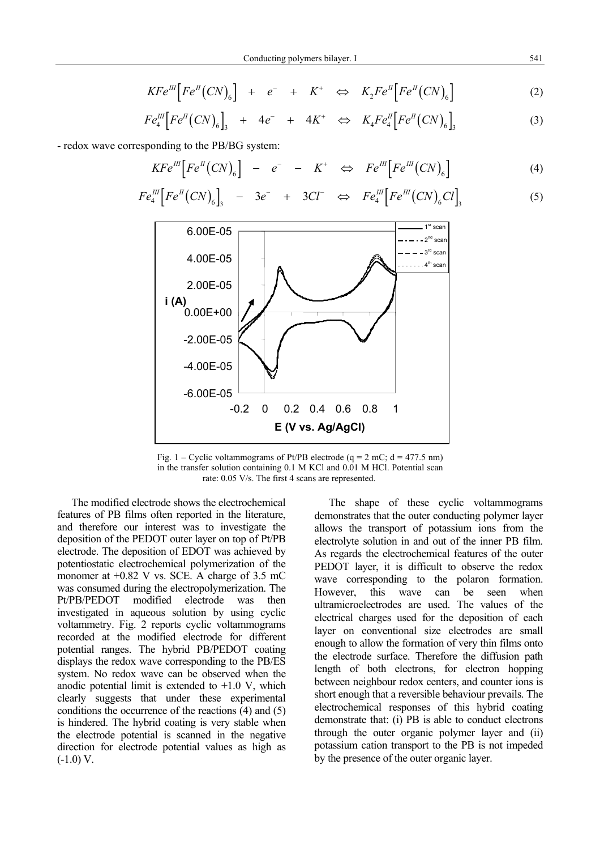$$
KFe^{III}\left[Fe^{II}(CN)_6\right] + e^- + K^+ \Leftrightarrow K_2Fe^{II}\left[Fe^{II}(CN)_6\right] \tag{2}
$$

$$
Fe^{III}_{4}\Big[Fe^{II}(CN)_{6}\Big]_{3} + 4e^{-} + 4K^{+} \Leftrightarrow K_{4}Fe^{II}_{4}\Big[Fe^{II}(CN)_{6}\Big]_{3}
$$
 (3)

- redox wave corresponding to the PB/BG system:

$$
KFe^{III}[Fe^{II}(CN)_6] - e^- - K^+ \Leftrightarrow Fe^{III}[Fe^{III}(CN)_6]
$$
 (4)

$$
Fe^{III}_{4}\left[Fe^{II}(CN)_{6}\right]_{3} \quad - \quad 3e^{-} \quad + \quad 3Cl^{-} \quad \Leftrightarrow \quad Fe^{III}_{4}\left[Fe^{III}(CN)_{6}Cl\right]_{3} \tag{5}
$$



Fig. 1 – Cyclic voltammograms of Pt/PB electrode (q =  $2 \text{ mC}$ ; d = 477.5 nm) in the transfer solution containing 0.1 M KCl and 0.01 M HCl. Potential scan rate: 0.05 V/s. The first 4 scans are represented.

The modified electrode shows the electrochemical features of PB films often reported in the literature, and therefore our interest was to investigate the deposition of the PEDOT outer layer on top of Pt/PB electrode. The deposition of EDOT was achieved by potentiostatic electrochemical polymerization of the monomer at +0.82 V vs. SCE. A charge of 3.5 mC was consumed during the electropolymerization. The Pt/PB/PEDOT modified electrode was then investigated in aqueous solution by using cyclic voltammetry. Fig. 2 reports cyclic voltammograms recorded at the modified electrode for different potential ranges. The hybrid PB/PEDOT coating displays the redox wave corresponding to the PB/ES system. No redox wave can be observed when the anodic potential limit is extended to  $+1.0$  V, which clearly suggests that under these experimental conditions the occurrence of the reactions (4) and (5) is hindered. The hybrid coating is very stable when the electrode potential is scanned in the negative direction for electrode potential values as high as  $(-1.0)$  V.

The shape of these cyclic voltammograms demonstrates that the outer conducting polymer layer allows the transport of potassium ions from the electrolyte solution in and out of the inner PB film. As regards the electrochemical features of the outer PEDOT layer, it is difficult to observe the redox wave corresponding to the polaron formation. However, this wave can be seen when ultramicroelectrodes are used. The values of the electrical charges used for the deposition of each layer on conventional size electrodes are small enough to allow the formation of very thin films onto the electrode surface. Therefore the diffusion path length of both electrons, for electron hopping between neighbour redox centers, and counter ions is short enough that a reversible behaviour prevails. The electrochemical responses of this hybrid coating demonstrate that: (i) PB is able to conduct electrons through the outer organic polymer layer and (ii) potassium cation transport to the PB is not impeded by the presence of the outer organic layer.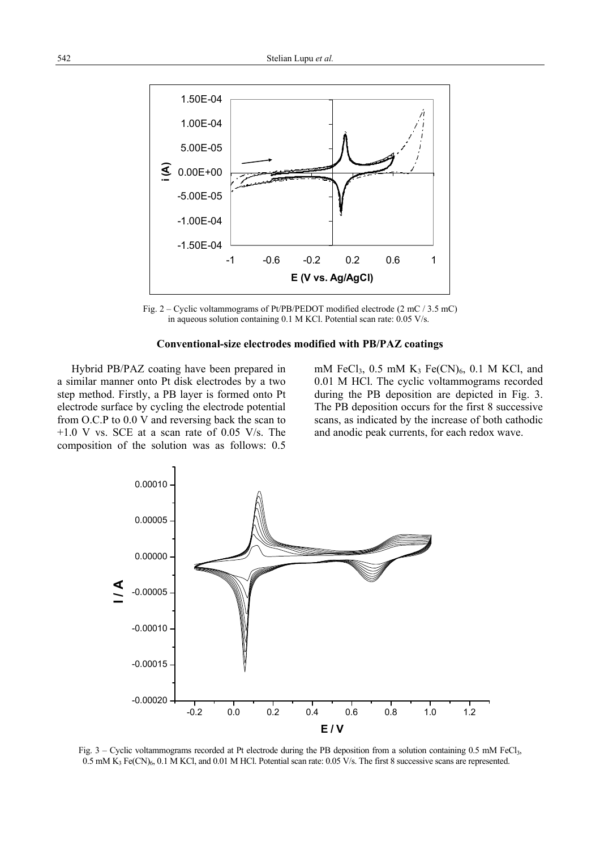

Fig. 2 – Cyclic voltammograms of Pt/PB/PEDOT modified electrode (2 mC / 3.5 mC) in aqueous solution containing 0.1 M KCl. Potential scan rate: 0.05 V/s.

#### **Conventional-size electrodes modified with PB/PAZ coatings**

Hybrid PB/PAZ coating have been prepared in a similar manner onto Pt disk electrodes by a two step method. Firstly, a PB layer is formed onto Pt electrode surface by cycling the electrode potential from O.C.P to 0.0 V and reversing back the scan to +1.0 V vs. SCE at a scan rate of 0.05 V/s. The composition of the solution was as follows: 0.5 mM FeCl<sub>3</sub>,  $0.5$  mM K<sub>3</sub> Fe(CN)<sub>6</sub>,  $0.1$  M KCl, and 0.01 M HCl. The cyclic voltammograms recorded during the PB deposition are depicted in Fig. 3. The PB deposition occurs for the first 8 successive scans, as indicated by the increase of both cathodic and anodic peak currents, for each redox wave.



Fig. 3 – Cyclic voltammograms recorded at Pt electrode during the PB deposition from a solution containing 0.5 mM FeCl<sub>3</sub>,  $0.5$  mM K<sub>3</sub> Fe(CN)<sub>6</sub>, 0.1 M KCl, and 0.01 M HCl. Potential scan rate: 0.05 V/s. The first 8 successive scans are represented.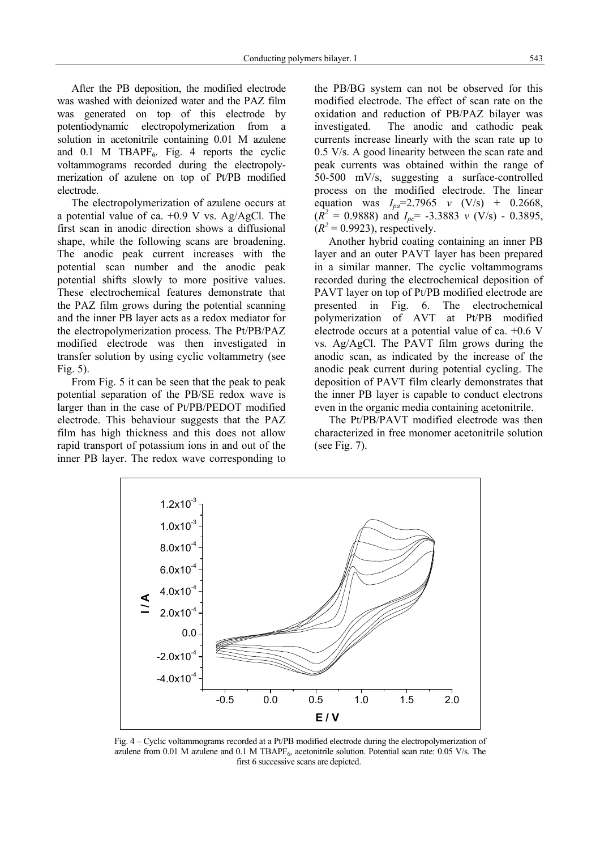After the PB deposition, the modified electrode was washed with deionized water and the PAZ film was generated on top of this electrode by potentiodynamic electropolymerization from a solution in acetonitrile containing 0.01 M azulene and 0.1 M TBAPF<sub>6</sub>. Fig. 4 reports the cyclic voltammograms recorded during the electropolymerization of azulene on top of Pt/PB modified electrode.

The electropolymerization of azulene occurs at a potential value of ca. +0.9 V vs. Ag/AgCl. The first scan in anodic direction shows a diffusional shape, while the following scans are broadening. The anodic peak current increases with the potential scan number and the anodic peak potential shifts slowly to more positive values. These electrochemical features demonstrate that the PAZ film grows during the potential scanning and the inner PB layer acts as a redox mediator for the electropolymerization process. The Pt/PB/PAZ modified electrode was then investigated in transfer solution by using cyclic voltammetry (see Fig. 5).

From Fig. 5 it can be seen that the peak to peak potential separation of the PB/SE redox wave is larger than in the case of Pt/PB/PEDOT modified electrode. This behaviour suggests that the PAZ film has high thickness and this does not allow rapid transport of potassium ions in and out of the inner PB layer. The redox wave corresponding to the PB/BG system can not be observed for this modified electrode. The effect of scan rate on the oxidation and reduction of PB/PAZ bilayer was investigated. The anodic and cathodic peak currents increase linearly with the scan rate up to 0.5 V/s. A good linearity between the scan rate and peak currents was obtained within the range of 50-500 mV/s, suggesting a surface-controlled process on the modified electrode. The linear equation was  $I_{pa} = 2.7965$  *v* (V/s) + 0.2668,  $(R^2 = 0.9888)$  and  $I_{pc} = -3.3883$  *v* (V/s) - 0.3895,  $(R^2 = 0.9923)$ , respectively.

Another hybrid coating containing an inner PB layer and an outer PAVT layer has been prepared in a similar manner. The cyclic voltammograms recorded during the electrochemical deposition of PAVT layer on top of Pt/PB modified electrode are presented in Fig. 6. The electrochemical polymerization of AVT at Pt/PB modified electrode occurs at a potential value of ca. +0.6 V vs. Ag/AgCl. The PAVT film grows during the anodic scan, as indicated by the increase of the anodic peak current during potential cycling. The deposition of PAVT film clearly demonstrates that the inner PB layer is capable to conduct electrons even in the organic media containing acetonitrile.

The Pt/PB/PAVT modified electrode was then characterized in free monomer acetonitrile solution (see Fig. 7).



Fig. 4 – Cyclic voltammograms recorded at a Pt/PB modified electrode during the electropolymerization of azulene from  $0.01$  M azulene and  $0.1$  M TBAPF<sub>6</sub>, acetonitrile solution. Potential scan rate:  $0.05$  V/s. The first 6 successive scans are depicted.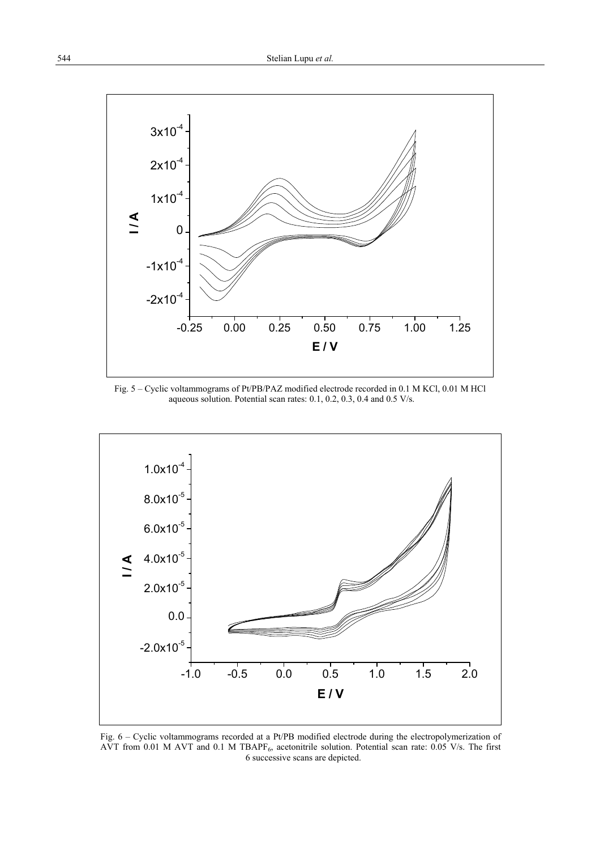

Fig. 5 – Cyclic voltammograms of Pt/PB/PAZ modified electrode recorded in 0.1 M KCl, 0.01 M HCl aqueous solution. Potential scan rates: 0.1, 0.2, 0.3, 0.4 and 0.5 V/s.



Fig. 6 – Cyclic voltammograms recorded at a Pt/PB modified electrode during the electropolymerization of AVT from 0.01 M AVT and 0.1 M TBAPF6, acetonitrile solution. Potential scan rate: 0.05 V/s. The first 6 successive scans are depicted.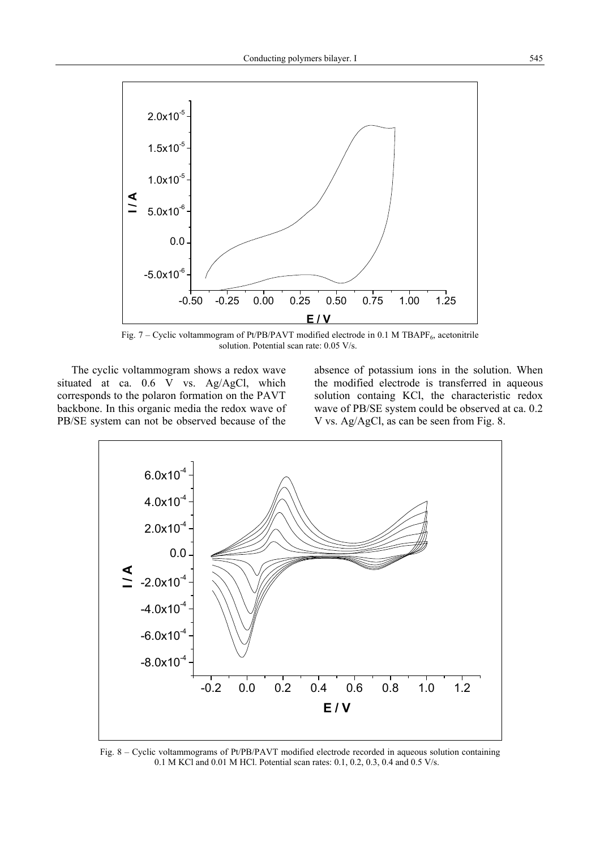

Fig. 7 – Cyclic voltammogram of Pt/PB/PAVT modified electrode in 0.1 M TBAPF $_6$ , acetonitrile solution. Potential scan rate: 0.05 V/s.

The cyclic voltammogram shows a redox wave situated at ca. 0.6 V vs. Ag/AgCl, which corresponds to the polaron formation on the PAVT backbone. In this organic media the redox wave of PB/SE system can not be observed because of the absence of potassium ions in the solution. When the modified electrode is transferred in aqueous solution containg KCl, the characteristic redox wave of PB/SE system could be observed at ca. 0.2 V vs. Ag/AgCl, as can be seen from Fig. 8.



Fig. 8 – Cyclic voltammograms of Pt/PB/PAVT modified electrode recorded in aqueous solution containing 0.1 M KCl and 0.01 M HCl. Potential scan rates: 0.1, 0.2, 0.3, 0.4 and 0.5 V/s.